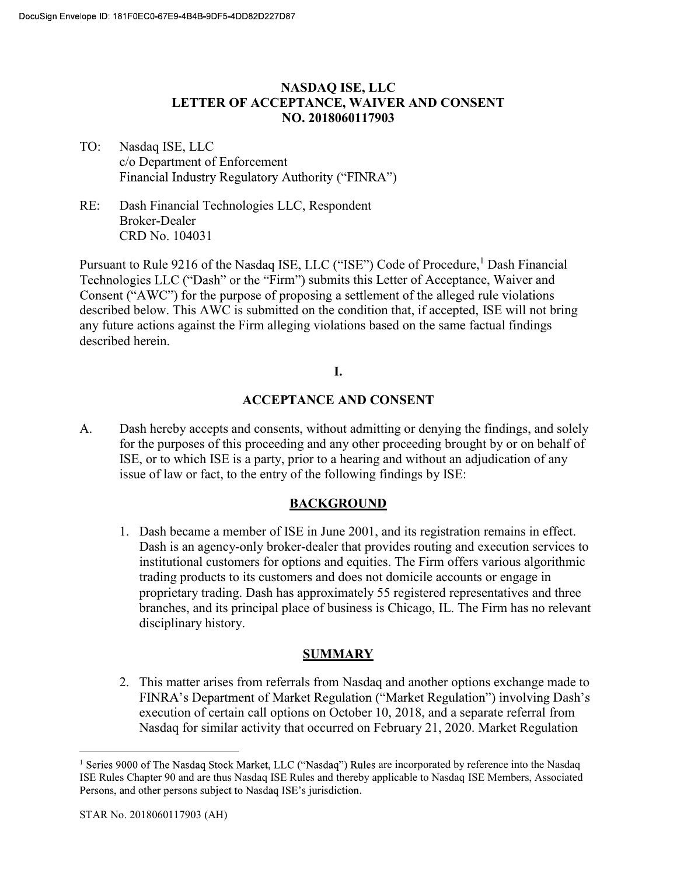### NASDAQ ISE, LLC LETTER OF ACCEPTANCE, WAIVER AND CONSENT NO. 2018060117903

- TO: Nasdaq ISE, LLC c/o Department of Enforcement Financial Industry Regulatory Authority ("FINRA")
- RE: Dash Financial Technologies LLC, Respondent Broker-Dealer CRD No. 104031

Pursuant to Rule 9216 of the Nasdaq ISE, LLC ("ISE") Code of Procedure,<sup>1</sup> Dash Financial Technologies LLC ("Dash" or the "Firm") submits this Letter of Acceptance, Waiver and Consent ("AWC") for the purpose of proposing a settlement of the alleged rule violations described below. This AWC is submitted on the condition that, if accepted, ISE will not bring any future actions against the Firm alleging violations based on the same factual findings described herein.

#### I.

### ACCEPTANCE AND CONSENT

A. Dash hereby accepts and consents, without admitting or denying the findings, and solely for the purposes of this proceeding and any other proceeding brought by or on behalf of ISE, or to which ISE is a party, prior to a hearing and without an adjudication of any issue of law or fact, to the entry of the following findings by ISE:

### BACKGROUND

1. Dash became a member of ISE in June 2001, and its registration remains in effect. Dash is an agency-only broker-dealer that provides routing and execution services to institutional customers for options and equities. The Firm offers various algorithmic trading products to its customers and does not domicile accounts or engage in proprietary trading. Dash has approximately 55 registered representatives and three branches, and its principal place of business is Chicago, IL. The Firm has no relevant disciplinary history.

### SUMMARY

2. This matter arises from referrals from Nasdaq and another options exchange made to FINRA's Department of Market Regulation ("Market Regulation") involving Dash's execution of certain call options on October 10, 2018, and a separate referral from Nasdaq for similar activity that occurred on February 21, 2020. Market Regulation

<sup>&</sup>lt;u>1</u><br><sup>1</sup> Series 9000 of The Nasdaq Stock Market, LLC ("Nasdaq") Rules are incorporated by reference into the Nasdaq ISE Rules Chapter 90 and are thus Nasdaq ISE Rules and thereby applicable to Nasdaq ISE Members, Associated Persons, and other persons subject to Nasdaq ISE's jurisdiction.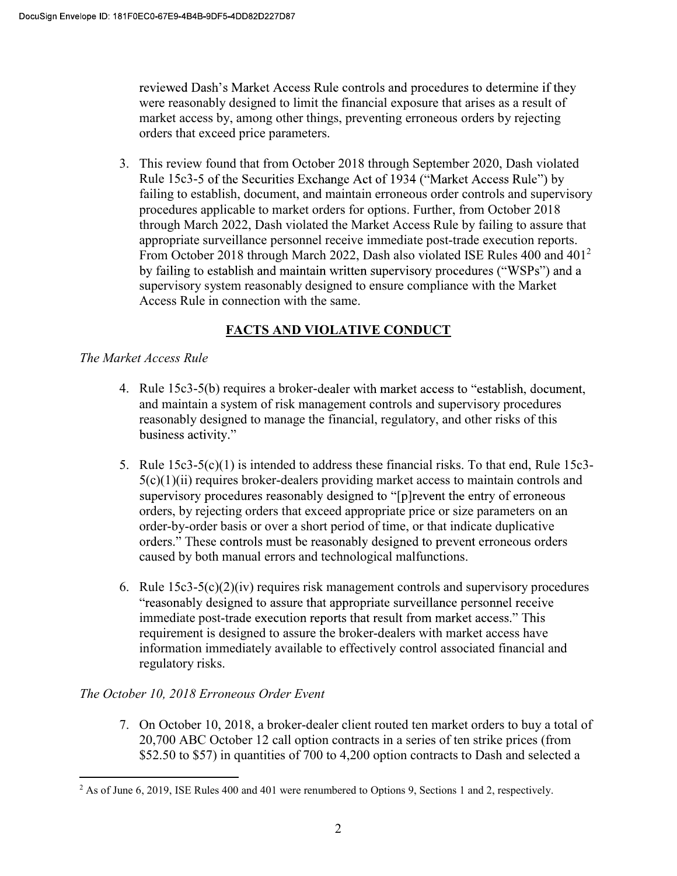reviewed Dash's Market Access Rule controls and procedures to determine if they were reasonably designed to limit the financial exposure that arises as a result of market access by, among other things, preventing erroneous orders by rejecting orders that exceed price parameters.

3. This review found that from October 2018 through September 2020, Dash violated Rule 15c3-5 of the Securities Exchange Act of 1934 ("Market Access Rule") by failing to establish, document, and maintain erroneous order controls and supervisory procedures applicable to market orders for options. Further, from October 2018 through March 2022, Dash violated the Market Access Rule by failing to assure that appropriate surveillance personnel receive immediate post-trade execution reports. From October 2018 through March 2022, Dash also violated ISE Rules 400 and 401<sup>2</sup> by failing to establish and maintain written supervisory procedures ("WSPs") and a supervisory system reasonably designed to ensure compliance with the Market Access Rule in connection with the same.

# FACTS AND VIOLATIVE CONDUCT

## The Market Access Rule

- 4. Rule 15c3-5(b) requires a broker-dealer with market access to "establish, document, and maintain a system of risk management controls and supervisory procedures reasonably designed to manage the financial, regulatory, and other risks of this business activity."
- 5. Rule 15c3-5(c)(1) is intended to address these financial risks. To that end, Rule 15c3-  $5(c)(1)(ii)$  requires broker-dealers providing market access to maintain controls and supervisory procedures reasonably designed to "[p] revent the entry of erroneous orders, by rejecting orders that exceed appropriate price or size parameters on an order-by-order basis or over a short period of time, or that indicate duplicative orders." These controls must be reasonably designed to prevent erroneous orders caused by both manual errors and technological malfunctions.
- 6. Rule  $15c3-5(c)(2)(iv)$  requires risk management controls and supervisory procedures "reasonably designed to assure that appropriate surveillance personnel receive immediate post-trade execution reports that result from market access." This requirement is designed to assure the broker-dealers with market access have information immediately available to effectively control associated financial and regulatory risks.

### The October 10, 2018 Erroneous Order Event

7. On October 10, 2018, a broker-dealer client routed ten market orders to buy a total of 20,700 ABC October 12 call option contracts in a series of ten strike prices (from \$52.50 to \$57) in quantities of 700 to 4,200 option contracts to Dash and selected a

<sup>&</sup>lt;sup>2</sup> As of June 6, 2019, ISE Rules 400 and 401 were renumbered to Options 9, Sections 1 and 2, respectively.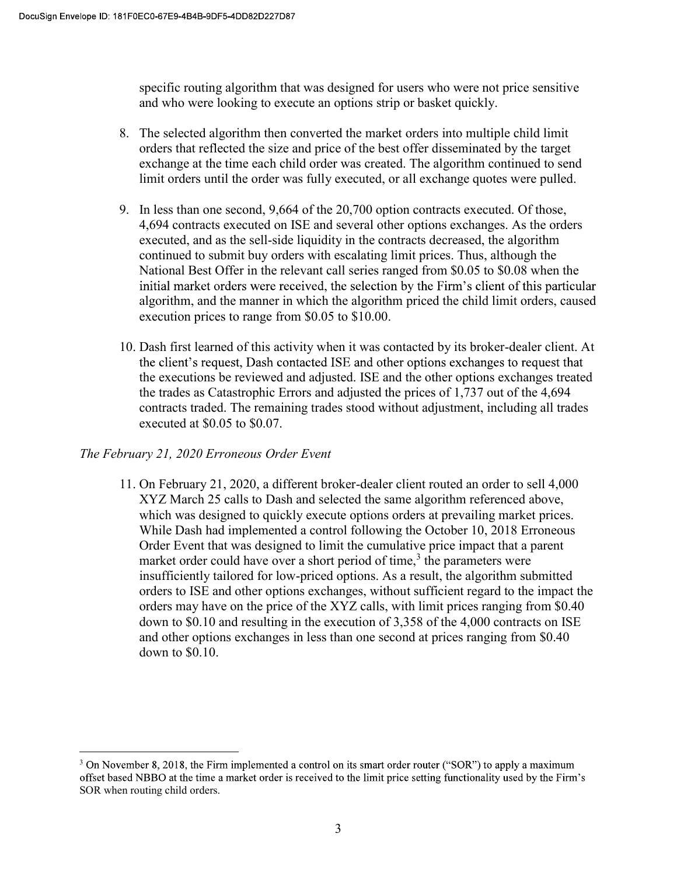specific routing algorithm that was designed for users who were not price sensitive and who were looking to execute an options strip or basket quickly.

- 8. The selected algorithm then converted the market orders into multiple child limit orders that reflected the size and price of the best offer disseminated by the target exchange at the time each child order was created. The algorithm continued to send limit orders until the order was fully executed, or all exchange quotes were pulled.
- 9. In less than one second, 9,664 of the 20,700 option contracts executed. Of those, 4,694 contracts executed on ISE and several other options exchanges. As the orders executed, and as the sell-side liquidity in the contracts decreased, the algorithm continued to submit buy orders with escalating limit prices. Thus, although the National Best Offer in the relevant call series ranged from \$0.05 to \$0.08 when the initial market orders were received, the selection by the Firm's client of this particular algorithm, and the manner in which the algorithm priced the child limit orders, caused execution prices to range from \$0.05 to \$10.00.
- 10. Dash first learned of this activity when it was contacted by its broker-dealer client. At the client's request, Dash contacted ISE and other options exchanges to request that the executions be reviewed and adjusted. ISE and the other options exchanges treated the trades as Catastrophic Errors and adjusted the prices of 1,737 out of the 4,694 contracts traded. The remaining trades stood without adjustment, including all trades executed at \$0.05 to \$0.07.

### The February 21, 2020 Erroneous Order Event

11. On February 21, 2020, a different broker-dealer client routed an order to sell 4,000 XYZ March 25 calls to Dash and selected the same algorithm referenced above, which was designed to quickly execute options orders at prevailing market prices. While Dash had implemented a control following the October 10, 2018 Erroneous Order Event that was designed to limit the cumulative price impact that a parent market order could have over a short period of time, $3$  the parameters were insufficiently tailored for low-priced options. As a result, the algorithm submitted orders to ISE and other options exchanges, without sufficient regard to the impact the orders may have on the price of the XYZ calls, with limit prices ranging from \$0.40 down to \$0.10 and resulting in the execution of 3,358 of the 4,000 contracts on ISE and other options exchanges in less than one second at prices ranging from \$0.40 down to \$0.10.

 $3$  On November 8, 2018, the Firm implemented a control on its smart order router ("SOR") to apply a maximum offset based NBBO at the time a market order is received to the limit price setting functionality used by the Firm's SOR when routing child orders.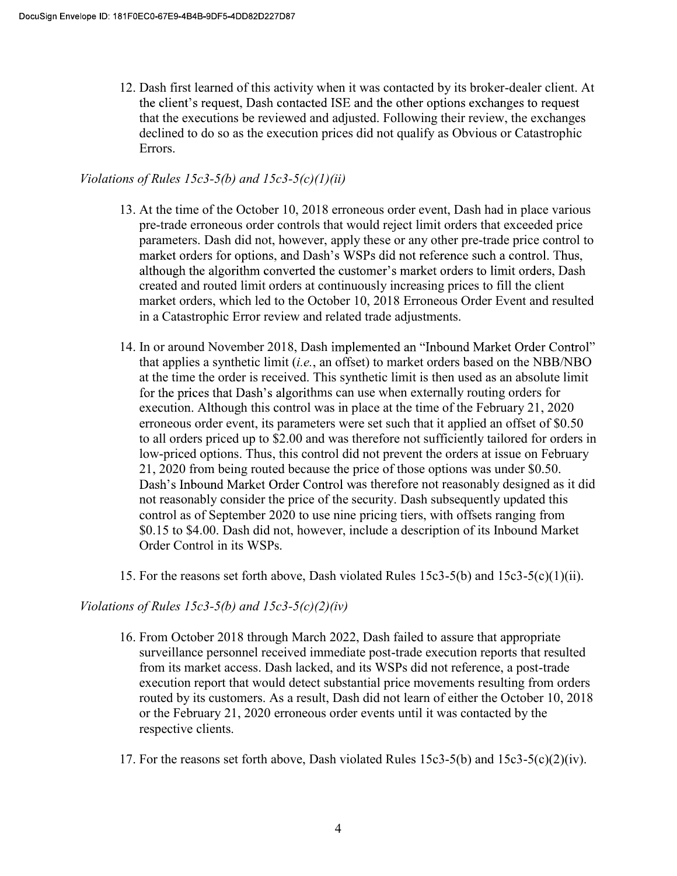12. Dash first learned of this activity when it was contacted by its broker-dealer client. At the client's request, Dash contacted ISE and the other options exchanges to request that the executions be reviewed and adjusted. Following their review, the exchanges declined to do so as the execution prices did not qualify as Obvious or Catastrophic Errors.

#### Violations of Rules 15c3-5(b) and 15c3-5(c)(1)(ii)

- 13. At the time of the October 10, 2018 erroneous order event, Dash had in place various pre-trade erroneous order controls that would reject limit orders that exceeded price parameters. Dash did not, however, apply these or any other pre-trade price control to market orders for options, and Dash's WSPs did not reference such a control. Thus, although the algorithm converted the customer's market orders to limit orders. Dash created and routed limit orders at continuously increasing prices to fill the client market orders, which led to the October 10, 2018 Erroneous Order Event and resulted in a Catastrophic Error review and related trade adjustments.
- 14. In or around November 2018, Dash implemented an "Inbound Market Order Control" that applies a synthetic limit  $(i.e.,$  an offset) to market orders based on the NBB/NBO at the time the order is received. This synthetic limit is then used as an absolute limit for the prices that Dash's algorithms can use when externally routing orders for execution. Although this control was in place at the time of the February 21, 2020 erroneous order event, its parameters were set such that it applied an offset of \$0.50 to all orders priced up to \$2.00 and was therefore not sufficiently tailored for orders in low-priced options. Thus, this control did not prevent the orders at issue on February 21, 2020 from being routed because the price of those options was under \$0.50. Dash's Inbound Market Order Control was therefore not reasonably designed as it did not reasonably consider the price of the security. Dash subsequently updated this control as of September 2020 to use nine pricing tiers, with offsets ranging from \$0.15 to \$4.00. Dash did not, however, include a description of its Inbound Market Order Control in its WSPs.
- 15. For the reasons set forth above, Dash violated Rules 15c3-5(b) and 15c3-5(c)(1)(ii).

#### Violations of Rules 15c3-5(b) and 15c3-5(c)(2)(iv)

- 16. From October 2018 through March 2022, Dash failed to assure that appropriate surveillance personnel received immediate post-trade execution reports that resulted from its market access. Dash lacked, and its WSPs did not reference, a post-trade execution report that would detect substantial price movements resulting from orders routed by its customers. As a result, Dash did not learn of either the October 10, 2018 or the February 21, 2020 erroneous order events until it was contacted by the respective clients.
- 17. For the reasons set forth above, Dash violated Rules 15c3-5(b) and 15c3-5(c)(2)(iv).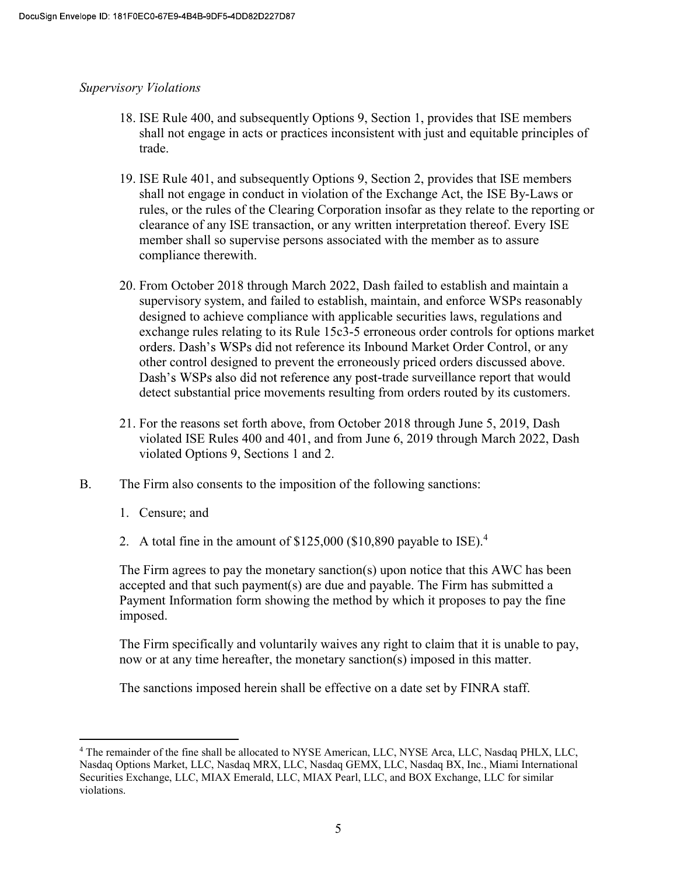#### Supervisory Violations

- 18. ISE Rule 400, and subsequently Options 9, Section 1, provides that ISE members shall not engage in acts or practices inconsistent with just and equitable principles of trade.
- 19. ISE Rule 401, and subsequently Options 9, Section 2, provides that ISE members shall not engage in conduct in violation of the Exchange Act, the ISE By-Laws or rules, or the rules of the Clearing Corporation insofar as they relate to the reporting or clearance of any ISE transaction, or any written interpretation thereof. Every ISE member shall so supervise persons associated with the member as to assure compliance therewith.
- 20. From October 2018 through March 2022, Dash failed to establish and maintain a supervisory system, and failed to establish, maintain, and enforce WSPs reasonably designed to achieve compliance with applicable securities laws, regulations and exchange rules relating to its Rule 15c3-5 erroneous order controls for options market orders. Dash's WSPs did not reference its Inbound Market Order Control, or any other control designed to prevent the erroneously priced orders discussed above. Dash's WSPs also did not reference any post-trade surveillance report that would detect substantial price movements resulting from orders routed by its customers.
- 21. For the reasons set forth above, from October 2018 through June 5, 2019, Dash violated ISE Rules 400 and 401, and from June 6, 2019 through March 2022, Dash violated Options 9, Sections 1 and 2.
- B. The Firm also consents to the imposition of the following sanctions:
	- 1. Censure; and
	- 2. A total fine in the amount of  $$125,000$  ( $$10,890$  payable to ISE).<sup>4</sup>

 The Firm agrees to pay the monetary sanction(s) upon notice that this AWC has been accepted and that such payment(s) are due and payable. The Firm has submitted a Payment Information form showing the method by which it proposes to pay the fine imposed.

 The Firm specifically and voluntarily waives any right to claim that it is unable to pay, now or at any time hereafter, the monetary sanction(s) imposed in this matter.

The sanctions imposed herein shall be effective on a date set by FINRA staff.

The remainder of the fine shall be allocated to NYSE American, LLC, NYSE Arca, LLC, Nasdaq PHLX, LLC, Nasdaq Options Market, LLC, Nasdaq MRX, LLC, Nasdaq GEMX, LLC, Nasdaq BX, Inc., Miami International Securities Exchange, LLC, MIAX Emerald, LLC, MIAX Pearl, LLC, and BOX Exchange, LLC for similar violations.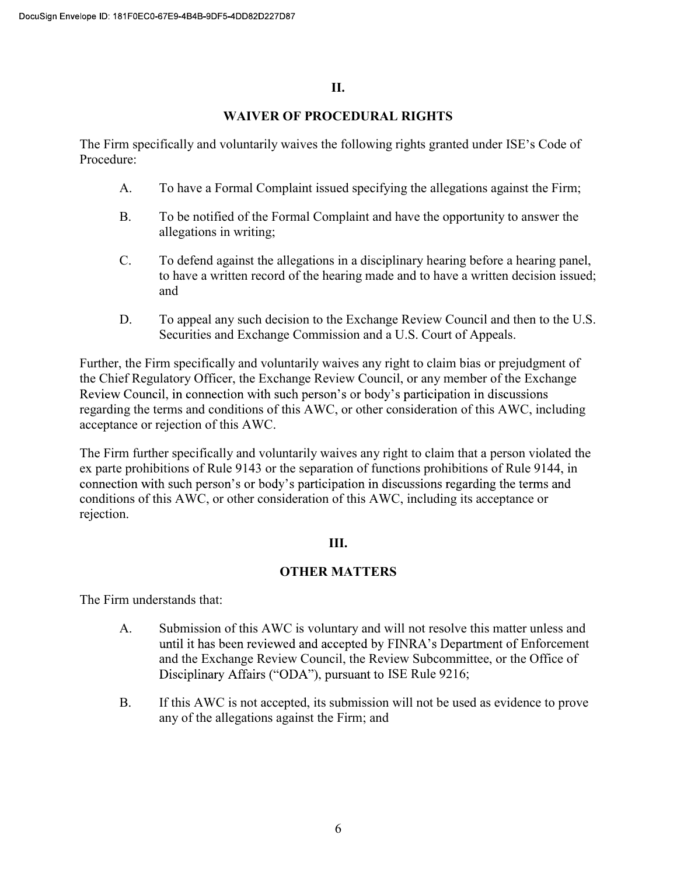#### II.

#### WAIVER OF PROCEDURAL RIGHTS

The Firm specifically and voluntarily waives the following rights granted under ISE's Code of Procedure:

- A. To have a Formal Complaint issued specifying the allegations against the Firm;
- B. To be notified of the Formal Complaint and have the opportunity to answer the allegations in writing;
- C. To defend against the allegations in a disciplinary hearing before a hearing panel, to have a written record of the hearing made and to have a written decision issued; and
- D. To appeal any such decision to the Exchange Review Council and then to the U.S. Securities and Exchange Commission and a U.S. Court of Appeals.

Further, the Firm specifically and voluntarily waives any right to claim bias or prejudgment of the Chief Regulatory Officer, the Exchange Review Council, or any member of the Exchange Review Council, in connection with such person's or body's participation in discussions regarding the terms and conditions of this AWC, or other consideration of this AWC, including acceptance or rejection of this AWC.

The Firm further specifically and voluntarily waives any right to claim that a person violated the ex parte prohibitions of Rule 9143 or the separation of functions prohibitions of Rule 9144, in connection with such person's or body's participation in discussions regarding the terms and conditions of this AWC, or other consideration of this AWC, including its acceptance or rejection.

### III.

### OTHER MATTERS

The Firm understands that:

- A. Submission of this AWC is voluntary and will not resolve this matter unless and until it has been reviewed and accepted by FINRA's Department of Enforcement and the Exchange Review Council, the Review Subcommittee, or the Office of Disciplinary Affairs ("ODA"), pursuant to ISE Rule 9216;
- B. If this AWC is not accepted, its submission will not be used as evidence to prove any of the allegations against the Firm; and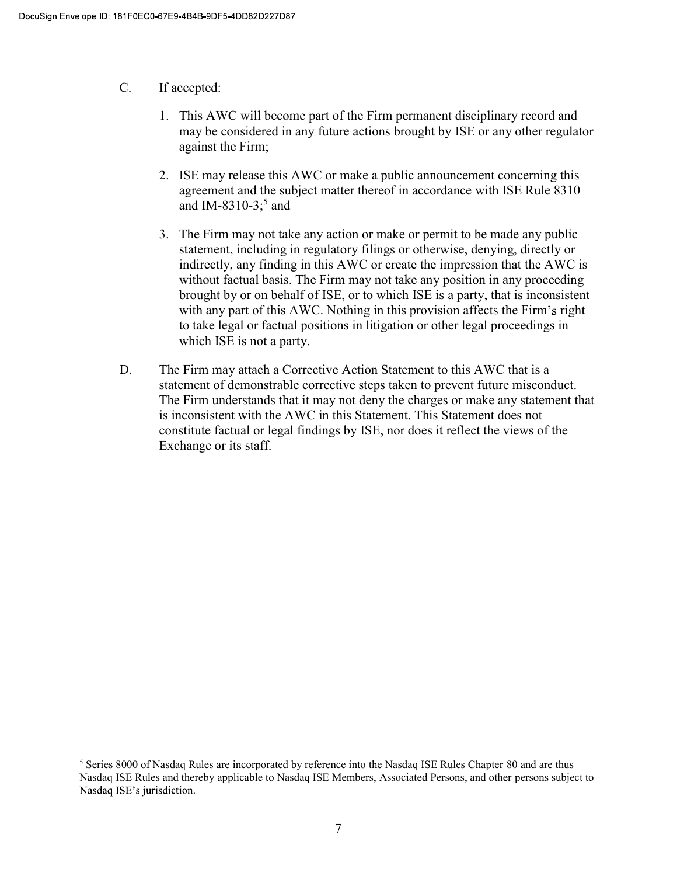- C. If accepted:
	- 1. This AWC will become part of the Firm permanent disciplinary record and may be considered in any future actions brought by ISE or any other regulator against the Firm;
	- 2. ISE may release this AWC or make a public announcement concerning this agreement and the subject matter thereof in accordance with ISE Rule 8310 and IM-8310-3;<sup>5</sup> and
	- 3. The Firm may not take any action or make or permit to be made any public statement, including in regulatory filings or otherwise, denying, directly or indirectly, any finding in this AWC or create the impression that the AWC is without factual basis. The Firm may not take any position in any proceeding brought by or on behalf of ISE, or to which ISE is a party, that is inconsistent with any part of this AWC. Nothing in this provision affects the Firm's right to take legal or factual positions in litigation or other legal proceedings in which ISE is not a party.
- D. The Firm may attach a Corrective Action Statement to this AWC that is a statement of demonstrable corrective steps taken to prevent future misconduct. The Firm understands that it may not deny the charges or make any statement that is inconsistent with the AWC in this Statement. This Statement does not constitute factual or legal findings by ISE, nor does it reflect the views of the Exchange or its staff.

**SECT**<br><sup>5</sup> Series 8000 of Nasdaq Rules are incorporated by reference into the Nasdaq ISE Rules Chapter 80 and are thus Nasdaq ISE Rules and thereby applicable to Nasdaq ISE Members, Associated Persons, and other persons subject to Nasdaq ISE's jurisdiction.